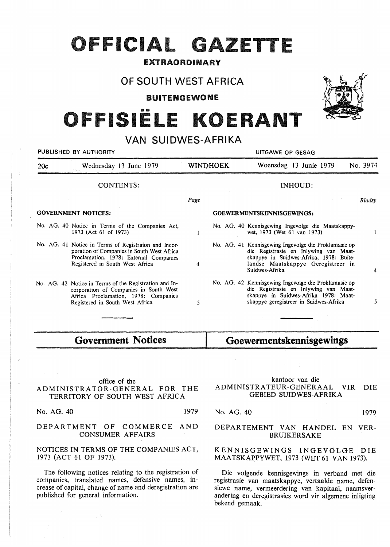## OFFICIAL GAZETTE

#### EXTRAORDINARY

### OF SOUTH WEST AFRICA

BUITENGEWONE

# FISIËLE KOERANT

## VAN SUIDWES-AFRIKA

| PUBLISHED BY AUTHORITY     |                                                                                                                                                                                 | UITGAWE OP GESAG                 |  |                                                                                                                                                                                                  |               |
|----------------------------|---------------------------------------------------------------------------------------------------------------------------------------------------------------------------------|----------------------------------|--|--------------------------------------------------------------------------------------------------------------------------------------------------------------------------------------------------|---------------|
| 20c                        | Wednesday 13 June 1979                                                                                                                                                          | <b>WINDHOEK</b>                  |  | Woensdag 13 Junie 1979                                                                                                                                                                           | No. 3974      |
|                            | <b>CONTENTS:</b>                                                                                                                                                                |                                  |  | <b>INHOUD:</b>                                                                                                                                                                                   |               |
|                            |                                                                                                                                                                                 | Page                             |  |                                                                                                                                                                                                  | <b>Bladsy</b> |
| <b>GOVERNMENT NOTICES:</b> |                                                                                                                                                                                 | <b>GOEWERMENTSKENNISGEWINGS:</b> |  |                                                                                                                                                                                                  |               |
|                            | No. AG. 40 Notice in Terms of the Companies Act,<br>1973 (Act 61 of 1973)                                                                                                       |                                  |  | No. AG. 40 Kennisgewing Ingevolge die Maatskappy-<br>wet, 1973 (Wet 61 van 1973)                                                                                                                 |               |
|                            | No. AG. 41 Notice in Terms of Registraion and Incor-<br>poration of Companies in South West Africa<br>Proclamation, 1978: External Companies<br>Registered in South West Africa | 4                                |  | No. AG. 41 Kennisgewing Ingevolge die Proklamasie op<br>die Registrasie en Inlywing van Maat-<br>skappye in Suidwes-Afrika, 1978: Buite-<br>landse Maatskappye Geregistreer in<br>Suidwes-Afrika | 4             |
|                            | No. AG. 42 Notice in Terms of the Registration and In-<br>corporation of Companies in South West<br>Africa Proclamation, 1978: Companies<br>Registered in South West Africa     | 5                                |  | No. AG. 42 Kennisgewing Ingevolge die Proklamasie op<br>die Registrasie en Inlywing van Maat-<br>skappye in Suidwes-Afrika 1978: Maat-<br>skappye geregistreer in Suidwes-Afrika                 | 5             |

**Government Notices** 

## **Goewermentskennisgewings**

#### office of the ADMINISTRATOR-GENERAL FOR THE TERRITORY OF SOUTH WEST AFRICA

No. AG. 40 1979

#### DEPARTMENT OF COMMERCE AND CONSUMER AFFAIRS

#### NOTICES IN TERMS OF THE COMPANIES ACT, 1973 (ACT 61 OF 1973).

The following notices relating to the registration of companies, translated names, defensive names, increase of capital, change of name and deregistration are published for general information.

#### kantoor van die ADMINISTRATEUR-GENERAAL VIR DIE GEBIED SUIDWES-AFRIKA

No. AG. 40 1979

#### **DEPARTEMENT VAN HANDEL EN VER-BRUIKERSAKE**

#### **KENNISGEWINGS** INGEVOLGE DIE **MAATSKAPPYWET,** 1973 (WET 61 VAN 1973).

Die volgende kennisgewings in verband met die registrasie van maatskappye, vertaalde name, defensiewe name, vermeerdering van kapitaal, naamsverandering en deregistrasies word vir algemene inligting bekend gemaak.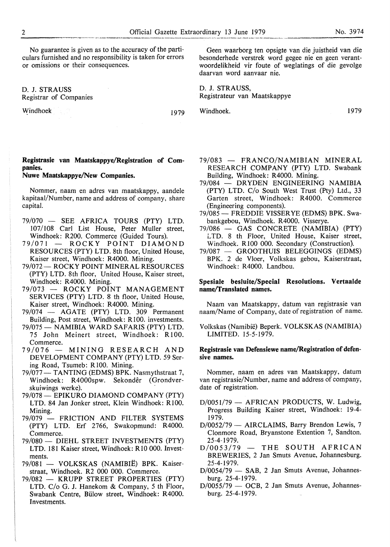No guarantee is given as to the accuracy of the particulars furnished and no responsibility is taken for errors or omissions or their consequences.

D. J. STRAUSS Registrar of Companies

Windhoek 1979

#### **Registrasie van Maatskappye/Registration of Companies.**

#### **Nuwe Maatskappye/New Companies.**

Nommer, naam en adres van maatskappy, aandele kapitaal/Number, name and address of company, share capital.

- 79/070 SEE AFRICA TOURS (PTY) LTD. 107/108 Carl List House, Peter Muller street, Windhoek: R200. Commerce (Guided Tours).
- 79/071 ROCKY POINT DIAMOND RESOURCES (PTY) LTD. 8th floor, United House, Kaiser street, Windhoek: R4000. Mining.
- 79/072 ROCKY POINT MINERAL RESOURCES (PTY) LTD. 8th floor, United House, Kaiser street, Windhoek: R4000. Mining.
- 79/073 ROCKY POINT MANAGEMENT SERVICES (PTY) LTD. 8 th floor, United House, Kaiser street, Windhoek: R4000. Mining.
- 79/074 AGATE (PTY) LTD. 309 Permanent Building, Post street, Windhoek: RlO0. investments.
- 79/075 NAMIBIA WARD SAFARIS (PTY) LTD. 75 John Meinert street, Windhoek: Rl00. Commerce.
- 79/076 MINING RESEARCH AND DEVELOPMENT COMPANY (PTY) LTD. 59 Sering Road, Tsumeb: R 100. Mining.
- 79/077 TANTING (EDMS) BPK. Nasmythstraat 7, Windhoek: R4000spw. Sekonder (Grondverskuiwings werke).
- 79/078 EPIKURO DIAMOND COMPANY (PTY) LTD. 84 Jan Jonker street, Klein Windhoek: Rl00. Mining.
- 79/079 FRICTION AND FILTER SYSTEMS (PTY) LTD. Erf 2766, Swakopmund: R4000. Commerce.
- 79/080 DIEHL STREET INVESTMENTS (PTY) LTD. 181 Kaiser street, Windhoek: RIO 000. Investments.
- 79/081 VOLKSKAS (NAMIBIË) BPK. Kaiserstraat, Windhoek. R2 000 000. Commerce.
- 79/082 KRUPP STREET PROPERTIES (PTY) LTD. C/o G. J. Hanekom & Company, 5 th Floor, Swabank Centre, Biilow street, Windhoek: R4000. Investments.

Geen waarborg ten opsigte van die juistheid van die besonderhede verstrek word gegee nie en geen verantwoordelikheid vir foute of weglatings of die gevolge daarvan word aanvaar nie.

**D. J. STRAUSS,**  Registrateur van Maatskappye

Windhoek. 1979

- 79/083 FRANCO/NAMIBIAN MINERAL RESEARCH COMPANY (PTY) LTD. Swabank Building, Windhoek: R4000. Mining.
- 79/084 DRYDEN ENGINEERING NAMIBIA (PTY) LTD. C/o South West Trust (Pty) Ltd., 33 Garten street, Windhoek: R4000. Commerce (Engineering components).
- 79/085 FREDDIE VISSERYE (EDMS) BPK. Swabankgebou, Windhoek. R4000. Visserye.
- 79/086 GAS CONCRETE (NAMIBIA) (PTY) LTD. 8 th Floor, United House, Kaiser street, Windhoek. R100 000. Secondary (Construction).
- 79/087 GROOTHUIS BELEGGINGS (EDMS) BPK. 2 de Vloer, Volkskas gebou, Kaiserstraat, Windhoek: R4000. Landbou.

#### **Spesiale besluite/Special Resolutions. Vertaalde name/Translated names.**

Naam van Maatskappy, datum van registrasie van naam/Name of Company, date of registration of name.

Volkskas (Namibie) Beperk. VOLKSKAS (NAMIBIA) LIMITED. 15-5-1979.

#### **Registrasie van Defensiewe name/Registration of defensive names.**

Nommer, naam en adres van Maatskappy, datum van registrasie/Number, name and address of company, date of registration.

- $D/0051/79$  AFRICAN PRODUCTS, W. Ludwig, Progress Building Kaiser street, Windhoek: 19-4- 1979.
- D/0052/79 AIRCLAIMS, Barry Brendon Lewis, 7 Clonmore Road, Bryanstone Extention 7, Sandton. 25-4-1979.
- $D/0053/79$  THE SOUTH AFRICAN BREWERIES, 2 Jan Smuts Avenue, Johannesburg. 25-4-1979.
- $D/0054/79$  SAB, 2 Jan Smuts Avenue, Johannesburg. 25-4-1979.
- $D/0055/79$  OCB, 2 Jan Smuts Avenue, Johannesburg. 25-4-1979.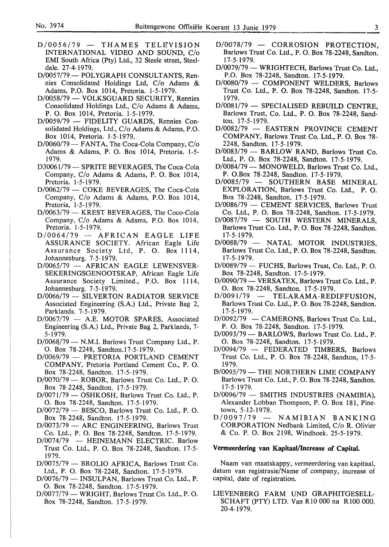- *D10056179*  THAMES TELEVISION INTERNATIONAL VIDEO AND SOUND, *Clo*  EMI South Africa (Pty) Ltd., 32 Steele street, Steeldale. 27-4-1979.
- D/0057/79 POLYGRAPH CONSULTANTS, Rennies Consolidated Holdings Ltd, *Clo* Adams & Adams, P.O. Box 1014, Pretoria. 1-5-1979.
- D/0058/79 VOLKSGUARD SECURITY, Rennies Consolidated Holdings Ltd., *Clo* Adams & Adams, P. 0. Box 1014, Pretoria. 1-5-1979.
- D/0059/79 FIDELITY GUARDS, Rennies Consolidated Holdings, Ltd., *Clo* Adams & Adams, P.O. Box 1014, Pretoria. 1-5-1979.
- D/0060/79 FANTA, The Coca-Cola Company, C/o Adams & Adams, P. 0. Box 1014, Pretoria. 1-5- 1979.
- D30061/79 SPRITE BEVERAGES, The Coca-Cola Company, *Clo* Adams & Adams, P. 0. Box 1014, Pretoria. 1-5-1979.
- D/0062/79 COKE BEVERAGES, The Coca-Cola Company, *Clo* Adams & Adams, P.O. Box 1014, Pretoria, 1-5-1979.
- *D10063179*  KREST BEVERAGES, The Coco-Cola Company, *Clo* Adams & Adams, P.O. Box 1014, Pretoria. 1-5-1979.
- *D10064179*  AFRICAN EAGLE LIFE ASSURANCE SOCIETY. African Eagle Life Assurance Society Ltd, P. 0. Box 1114, Johannesburg. 7-5-1979.
- D/0065/79 AFRICAN EAGLE LEWENSVER-SEKERINGSGENOOTSKAP, African Eagle Life Assurance Society Limited., P.O. Box 1114, Johannesburg. 7-5-1979.
- D/0066/79 SILVERTON RADIATOR SERVICE Associated Engineering (S.A.) Ltd., Private Bag 2, Parklands. 7-5-1979.
- D/0067/79 A.E. MOTOR SPARES, Associated Engineering (S.A.) Ltd., Private Bag 2, Parklands, 7- 5-1979.
- D/0068/79 N.M.I. Barlows Trust Company Ltd., P. 0. Box 78-2248, Sandton.17-5-1979.
- *D10069179*  PRETORIA PORTLAND CEMENT COMPANY, Pretoria Portland Cement Co., P. 0. Box 78-2248, Sandton. 17-5-1979.
- D/0070/79 ROBOR, Barlows Trust Co. Ltd., P.O. Box 78-2248, Sandton. 17-5-1979.
- $D/0071/79$  OSHKOSH, Barlows Trust Co. Ltd., P. 0. Box 78-2248, Sandton. 17-5-1979.
- $D/0072/79$  BESCO, Barlows Trust Co. Ltd., P. O. Box 78-2248, Sandton. 17-5-1979.
- D/0073/79 ARC ENGINEERING, Barlows Trust Co. Ltd., P. 0. Box 78-2248, Sandton. 17-5-1979.
- $D/0074/79$  HEINEMANN ELECTRIC. Barlow Trust Co. Ltd., P. 0. Box 78-2248, Sandton. 17-5- 1979.
- D/0075/79 BROLIO AFRICA, Barlows Trust Co. Ltd., P. 0. Box 78-2248, Sandton. 17-5-1979.
- D/0076/79 INSULPAN, Barlows Trust Co. Ltd., P. 0. Box 78-2248, Sandton. 17-5-1979.
- D/0077/79 WRIGHT, Barlows Trust Co. Ltd., P.O. Box 78-2248, Sandton. 17-5-1979.
- D/0078/79 CORROSION PROTECTION, Barlows Trust Co. Ltd., P. 0. Box 78-2248, Sandton. 17-5-1979.
- D/0079/79 WRIGHTECH, Barlows Trust Co. Ltd., P.O. Box 78-2248, Sandton. 17-5-1979.
- D/0080/79 COMPONENT WELDERS, Barlows Trust Co. Ltd., P. 0. Box 78-2248, Sandton. 17-5- 1979.
- $D/0081/79$  SPECIALISED REBUILD CENTRE. Barlows Trust, Co. Ltd., P. 0. Box 78-2248, Sandton. 17-5-1979.
- D/0082/79 EASTERN PROVINCE CEMENT COMPANY, Barlows Trust Co. Ltd., P. 0. Box 78- 2248, Sandton. 17-5-1979.
- D/0083/79 BARLOW RAND, Barlows Trust Co. Ltd., P. 0. Box 78-2248, Sandton. 17-5-1979.
- D/0084/79 MONOWELD, Barlows Trust Co. Ltd., P. O.Box 78-2248, Sandton. 17-5-1979.<br>D/0085/79 - SOUTHERN BASE
- SOUTHERN BASE MINERAL EXPLORATION, Barlows Trust Co. Ltd., P. 0. Box 78-2248, Sandton. 17-5-1979.
- D/0086/79 CEMENT SERVICES, Barlows Trust Co. Ltd., P. 0. Box 78-2248, Sandton. 17-5-1979.
- D/0087/79 SOUTH WESTERN MINERALS, Barlows Trust Co. Ltd., P. 0. Box 78-2248, Sandton. 17-5-1979.
- D/0088/79 NATAL MOTOR INDUSTRIES, Barlows Trust Co. Ltd., P. 0. Box 78-2248, Sandton. 17-5-1979.
- D/0089/79 FUCHS, Barlows Trust, Co. Ltd., P. O. Box 78-2248, Sandton. 17-5-1979.
- D/0090/79 VERSATEX, Barlows Trust Co. Ltd., P. 0. Box 78-2248, Sandton. 17-5-1979.
- TELARAMA-REDIFFUSION, Barlows Trust Co. Ltd., P. 0. Box 78-2248, Sandton. 17-5-1979.
- $D/0092/79$  CAMERONS, Barlows Trust Co. Ltd., P. 0. Box 78-2248, Sandton. 17-5-1979.
- *D10093179*  BARLOWS, Barlows Trust Co. Ltd., P. 0. Box 78-2248, Sandton. 17-5-1979.
- D/0094/79 FEDERATED TIMBERS, Barlows Trust Co. Ltd., P. 0. Box 78-2248, Sandton, 17-5- 1979.
- D/0095/79 THE NORTHERN LIME COMPANY Barlows Trust Co. Ltd., P. 0. Box 78-2248, Sandton. 17-5-1979.
- D/0096/79 SMITHS INDUSTRIES (NAMIBIA). Alexander Lobban Thompson, P. 0. Box 181, Pinetown, 5-12-1978.
- $D/0097/79$  NAMIBIAN BANKING CORPORATION Nedbank Limited, *Clo* R. Olivier & Co. P. 0. Box 2198, Windhoek. 25-5-1979.

#### **Vermeerdering van Kapitaal/lncrease of Capital.**

Naam van maatskappy, vermeerdering van kapitaal, datum van registrasie/Name of company, increase of capital, date of registration.

LIEVENBERG FARM UND GRAPHITGESELL-SCHAFT (PTY) LTD. Van RlO 000 na RlOO 000. 20-4-1979.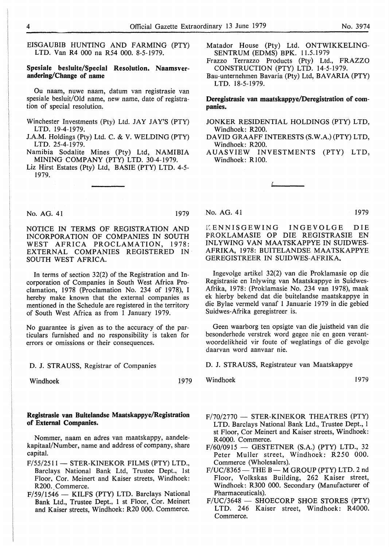EISGAUBIB HUNTING AND FARMING (PTY) LTD. Van R4 000 na R54 000. 8-5-1979.

#### **Spesia)e besluite/Special Resolution. Naamsverandering/Change of name**

Ou naam, nuwe naam, datum van registrasie van spesiale besluit/Old name, new name, date of registration of special resolution.

- Winchester Investments (Pty) Ltd. JAY JAY'S (PTY) LTD. 19-4-1979.
- J.A.M. Holdings (Pty) Ltd. C. & V. WELDING (PTY) LTD. 25-4-1979.

Namibia Sodalite Mines (Pty) Ltd, NAMIBIA MINING COMPANY (PTY) LTD. 30-4-1979.

Liz Hirst Estates (Pty) Ltd, BASIE (PTY) LTD. 4-5- 1979.

- Matador House (Pty) Ltd. ONTWIKKELING-SENTRUM (EDMS) BPK. I 1.5.1979
- Frazzo Terrazzo Products (Pty) Ltd., FRAZZO CONSTRUCTION (PTY) LTD. 14-5-1979.
- Bau-unternehmen Bavaria (Pty) Ltd, BAVARIA (PTY) LTD. 18-5-1979.

**Deregistrasie van maatskappye/Deregistration of companies.** 

- JONKER RESIDENTIAL HOLDINGS (PTY) LTD, Windhoek: R200.
- DAVID GRAAFF INTERESTS (S.W.A.) (PTY) LTD, Windhoek: R200.
- AUASVIEW INVESTMENTS (PTY) LTD, Windhoek: R 100.

No. AG. 41 1979

NOTICE IN TERMS OF REGISTRATION AND INCORPORATION OF COMPANIES IN SOUTH WEST AFRICA PROCLAMATION, 1978: EXTERNAL COMPANIES REGISTERED IN SOUTH WEST AFRICA.

In terms of section 32(2) of the Registration and Incorporation of Companies in South West Africa Proclamation, 1978 (Proclamation No. 234 of 1978), I hereby make known that the external companies as mentioned in the Schedule are registered in the territory of South West Africa as from 1 January 1979.

No guarantee is given as to the accuracy of the particulars furnished and no responsibility is taken for errors or omissions or their consequences.

D. J. STRAUSS, Registrar of Companies

Windhoek 1979

#### Registrasie van Buitelandse Maatskappye/Registration **of External Companies.**

Nommer, naam en adres van maatskappy, aandelekapitaal/Number, name and address of company, share capital.

- F/55/2511 STER-KINEKOR FILMS (PTY) LTD., Barclays National Bank Ltd, Trustee Dept., 1st Floor, Cor. Meinert and Kaiser streets, Windhoek: R200. Commerce.
- $F/59/1546$  KILFS (PTY) LTD. Barclays National Bank Ltd., Trustee Dept., 1 st Floor, Cor. Meinert and Kaiser streets, Windhoek: R20 000. Commerce.

No. AG. 41 1979

CENNISGEWING INGEVOLGE DIE PROKLAMASIE OP DIE REGISTRASIE EN INLYWING VAN MAATSKAPPYE IN SUIDWES-AFRIKA, 1978: BUITELANDSE MAATSKAPPYE GEREGISTREER IN SUIDWES-AFRIKA.

Ingevolge artikel 32(2) van die Proklamasie op die Registrasie en Inlywing van Maatskappye in Suidwes-Afrika, 1978: (Proklamasie No. 234 van 1978), maak ek hierby bekend dat die buitelandse maatskappye in die Bylae vermeld vanaf 1 Januarie 1979 in die gebied Suidwes-Afrika geregistreer is.

Geen waarborg ten opsigte van die juistheid van die besonderhede verstrek word gegee nie en geen verantwoordelikheid vir foute of weglatings of die gevolge daarvan word aanvaar nie.

**D. J. STRAUSS,** Registrateur van Maatskappye

Windhoek 1979

- $F/70/2770$  STER-KINEKOR THEATRES (PTY) LTD. Barclays National Bank Ltd., Trustee Dept., 1 st Floor, Cor Meinert and Kaiser streets, Windhoek: R4000. Commerce.
- F/60/0915 GESTETNER **(S.A.)** (PTY) LTD., 32 Peter Muller street, Windhoek: R250 000. Commerce (Wholesalers).
- $F/UC/8365$  THE B M GROUP (PTY) LTD. 2 nd Floor, Volkskas Building, 262 Kaiser street, Windhoek: R300 000. Secondary (Manufacturer of Pharmaceuticals).
- F/UC/3648 SHOECORP SHOE STORES (PTY) LTD. 246 Kaiser street, Windhoek: R4000. Commerce.